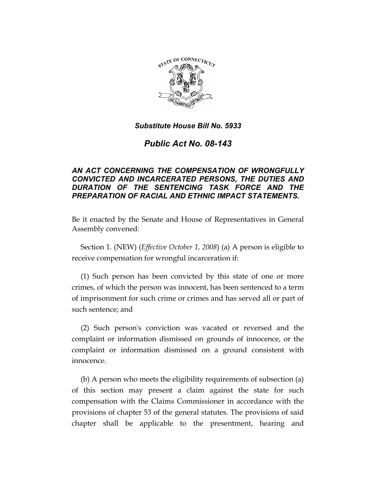

# *Public Act No. 08-143*

## *AN ACT CONCERNING THE COMPENSATION OF WRONGFULLY CONVICTED AND INCARCERATED PERSONS, THE DUTIES AND DURATION OF THE SENTENCING TASK FORCE AND THE PREPARATION OF RACIAL AND ETHNIC IMPACT STATEMENTS.*

Be it enacted by the Senate and House of Representatives in General Assembly convened:

Section 1. (NEW) (*Effective October 1, 2008*) (a) A person is eligible to receive compensation for wrongful incarceration if:

(1) Such person has been convicted by this state of one or more crimes, of which the person was innocent, has been sentenced to a term of imprisonment for such crime or crimes and has served all or part of such sentence; and

(2) Such person's conviction was vacated or reversed and the complaint or information dismissed on grounds of innocence, or the complaint or information dismissed on a ground consistent with innocence.

(b) A person who meets the eligibility requirements of subsection (a) of this section may present a claim against the state for such compensation with the Claims Commissioner in accordance with the provisions of chapter 53 of the general statutes. The provisions of said chapter shall be applicable to the presentment, hearing and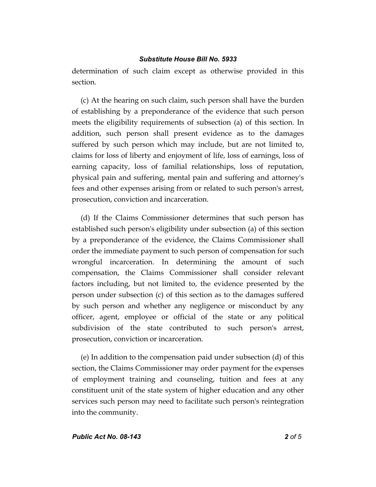determination of such claim except as otherwise provided in this section.

(c) At the hearing on such claim, such person shall have the burden of establishing by a preponderance of the evidence that such person meets the eligibility requirements of subsection (a) of this section. In addition, such person shall present evidence as to the damages suffered by such person which may include, but are not limited to, claims for loss of liberty and enjoyment of life, loss of earnings, loss of earning capacity, loss of familial relationships, loss of reputation, physical pain and suffering, mental pain and suffering and attorney's fees and other expenses arising from or related to such person's arrest, prosecution, conviction and incarceration.

(d) If the Claims Commissioner determines that such person has established such person's eligibility under subsection (a) of this section by a preponderance of the evidence, the Claims Commissioner shall order the immediate payment to such person of compensation for such wrongful incarceration. In determining the amount of such compensation, the Claims Commissioner shall consider relevant factors including, but not limited to, the evidence presented by the person under subsection (c) of this section as to the damages suffered by such person and whether any negligence or misconduct by any officer, agent, employee or official of the state or any political subdivision of the state contributed to such person's arrest, prosecution, conviction or incarceration.

(e) In addition to the compensation paid under subsection (d) of this section, the Claims Commissioner may order payment for the expenses of employment training and counseling, tuition and fees at any constituent unit of the state system of higher education and any other services such person may need to facilitate such person's reintegration into the community.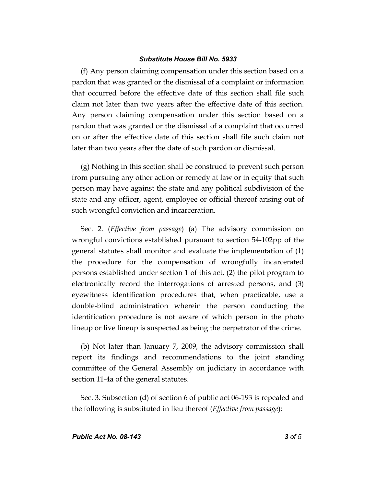(f) Any person claiming compensation under this section based on a pardon that was granted or the dismissal of a complaint or information that occurred before the effective date of this section shall file such claim not later than two years after the effective date of this section. Any person claiming compensation under this section based on a pardon that was granted or the dismissal of a complaint that occurred on or after the effective date of this section shall file such claim not later than two years after the date of such pardon or dismissal.

(g) Nothing in this section shall be construed to prevent such person from pursuing any other action or remedy at law or in equity that such person may have against the state and any political subdivision of the state and any officer, agent, employee or official thereof arising out of such wrongful conviction and incarceration.

Sec. 2. (*Effective from passage*) (a) The advisory commission on wrongful convictions established pursuant to section 54-102pp of the general statutes shall monitor and evaluate the implementation of (1) the procedure for the compensation of wrongfully incarcerated persons established under section 1 of this act, (2) the pilot program to electronically record the interrogations of arrested persons, and (3) eyewitness identification procedures that, when practicable, use a double-blind administration wherein the person conducting the identification procedure is not aware of which person in the photo lineup or live lineup is suspected as being the perpetrator of the crime.

(b) Not later than January 7, 2009, the advisory commission shall report its findings and recommendations to the joint standing committee of the General Assembly on judiciary in accordance with section 11-4a of the general statutes.

Sec. 3. Subsection (d) of section 6 of public act 06-193 is repealed and the following is substituted in lieu thereof (*Effective from passage*):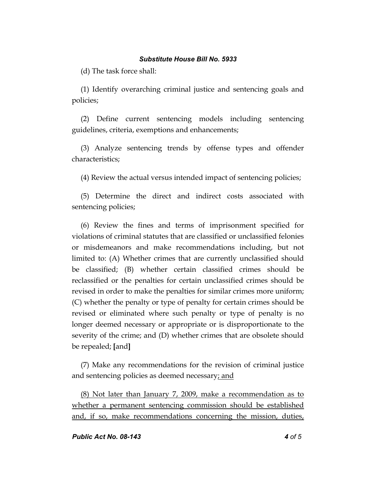(d) The task force shall:

(1) Identify overarching criminal justice and sentencing goals and policies;

(2) Define current sentencing models including sentencing guidelines, criteria, exemptions and enhancements;

(3) Analyze sentencing trends by offense types and offender characteristics;

(4) Review the actual versus intended impact of sentencing policies;

(5) Determine the direct and indirect costs associated with sentencing policies;

(6) Review the fines and terms of imprisonment specified for violations of criminal statutes that are classified or unclassified felonies or misdemeanors and make recommendations including, but not limited to: (A) Whether crimes that are currently unclassified should be classified; (B) whether certain classified crimes should be reclassified or the penalties for certain unclassified crimes should be revised in order to make the penalties for similar crimes more uniform; (C) whether the penalty or type of penalty for certain crimes should be revised or eliminated where such penalty or type of penalty is no longer deemed necessary or appropriate or is disproportionate to the severity of the crime; and (D) whether crimes that are obsolete should be repealed; **[**and**]**

(7) Make any recommendations for the revision of criminal justice and sentencing policies as deemed necessary; and

(8) Not later than January 7, 2009, make a recommendation as to whether a permanent sentencing commission should be established and, if so, make recommendations concerning the mission, duties,